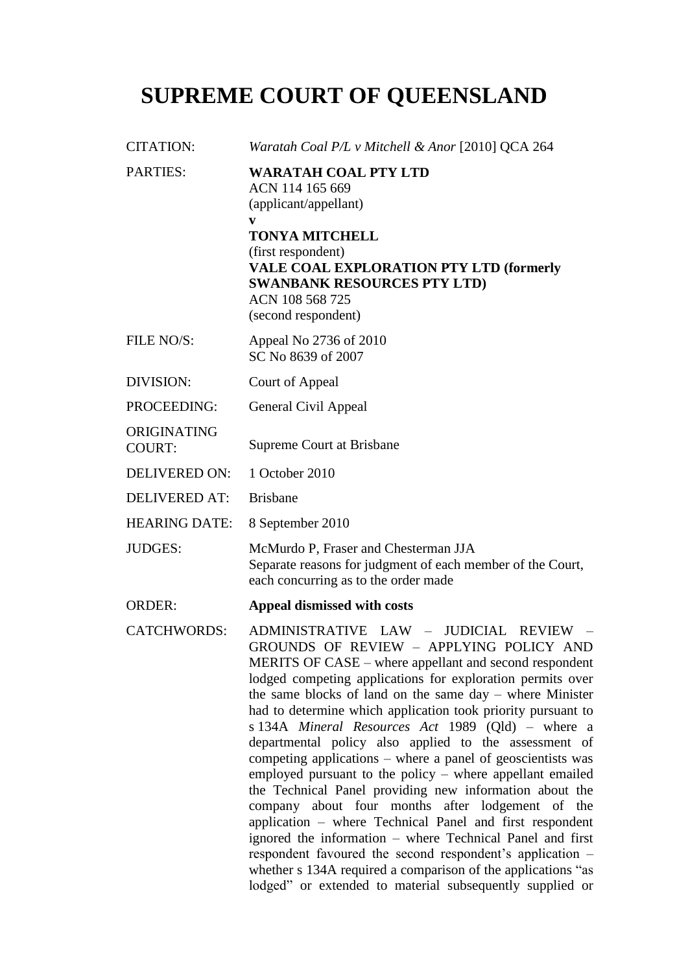# **SUPREME COURT OF QUEENSLAND**

| <b>CITATION:</b>             | Waratah Coal P/L v Mitchell & Anor [2010] QCA 264                                                                                                                                                                                                                                                                                                                                                                                                                                                                                                                                                                                                                                                                                                                                                                                                                                                                                                                                                                                                 |  |  |
|------------------------------|---------------------------------------------------------------------------------------------------------------------------------------------------------------------------------------------------------------------------------------------------------------------------------------------------------------------------------------------------------------------------------------------------------------------------------------------------------------------------------------------------------------------------------------------------------------------------------------------------------------------------------------------------------------------------------------------------------------------------------------------------------------------------------------------------------------------------------------------------------------------------------------------------------------------------------------------------------------------------------------------------------------------------------------------------|--|--|
| PARTIES:                     | <b>WARATAH COAL PTY LTD</b><br>ACN 114 165 669<br>(applicant/appellant)<br>V<br><b>TONYA MITCHELL</b><br>(first respondent)<br><b>VALE COAL EXPLORATION PTY LTD (formerly</b><br><b>SWANBANK RESOURCES PTY LTD)</b><br>ACN 108 568 725<br>(second respondent)                                                                                                                                                                                                                                                                                                                                                                                                                                                                                                                                                                                                                                                                                                                                                                                     |  |  |
| FILE NO/S:                   | Appeal No 2736 of 2010<br>SC No 8639 of 2007                                                                                                                                                                                                                                                                                                                                                                                                                                                                                                                                                                                                                                                                                                                                                                                                                                                                                                                                                                                                      |  |  |
| <b>DIVISION:</b>             | Court of Appeal                                                                                                                                                                                                                                                                                                                                                                                                                                                                                                                                                                                                                                                                                                                                                                                                                                                                                                                                                                                                                                   |  |  |
| PROCEEDING:                  | General Civil Appeal                                                                                                                                                                                                                                                                                                                                                                                                                                                                                                                                                                                                                                                                                                                                                                                                                                                                                                                                                                                                                              |  |  |
| ORIGINATING<br><b>COURT:</b> | Supreme Court at Brisbane                                                                                                                                                                                                                                                                                                                                                                                                                                                                                                                                                                                                                                                                                                                                                                                                                                                                                                                                                                                                                         |  |  |
| <b>DELIVERED ON:</b>         | 1 October 2010                                                                                                                                                                                                                                                                                                                                                                                                                                                                                                                                                                                                                                                                                                                                                                                                                                                                                                                                                                                                                                    |  |  |
| <b>DELIVERED AT:</b>         | <b>Brisbane</b>                                                                                                                                                                                                                                                                                                                                                                                                                                                                                                                                                                                                                                                                                                                                                                                                                                                                                                                                                                                                                                   |  |  |
| <b>HEARING DATE:</b>         | 8 September 2010                                                                                                                                                                                                                                                                                                                                                                                                                                                                                                                                                                                                                                                                                                                                                                                                                                                                                                                                                                                                                                  |  |  |
| <b>JUDGES:</b>               | McMurdo P, Fraser and Chesterman JJA<br>Separate reasons for judgment of each member of the Court,<br>each concurring as to the order made                                                                                                                                                                                                                                                                                                                                                                                                                                                                                                                                                                                                                                                                                                                                                                                                                                                                                                        |  |  |
| <b>ORDER:</b>                | Appeal dismissed with costs                                                                                                                                                                                                                                                                                                                                                                                                                                                                                                                                                                                                                                                                                                                                                                                                                                                                                                                                                                                                                       |  |  |
| <b>CATCHWORDS:</b>           | ADMINISTRATIVE LAW - JUDICIAL REVIEW<br>$\hspace{0.1mm}-\hspace{0.1mm}$<br>GROUNDS OF REVIEW - APPLYING POLICY AND<br>MERITS OF CASE – where appellant and second respondent<br>lodged competing applications for exploration permits over<br>the same blocks of land on the same day - where Minister<br>had to determine which application took priority pursuant to<br>s 134A Mineral Resources Act 1989 (Qld) – where a<br>departmental policy also applied to the assessment of<br>competing applications – where a panel of geoscientists was<br>employed pursuant to the policy – where appellant emailed<br>the Technical Panel providing new information about the<br>company about four months after lodgement of the<br>application – where Technical Panel and first respondent<br>ignored the information – where Technical Panel and first<br>respondent favoured the second respondent's application -<br>whether s 134A required a comparison of the applications "as<br>lodged" or extended to material subsequently supplied or |  |  |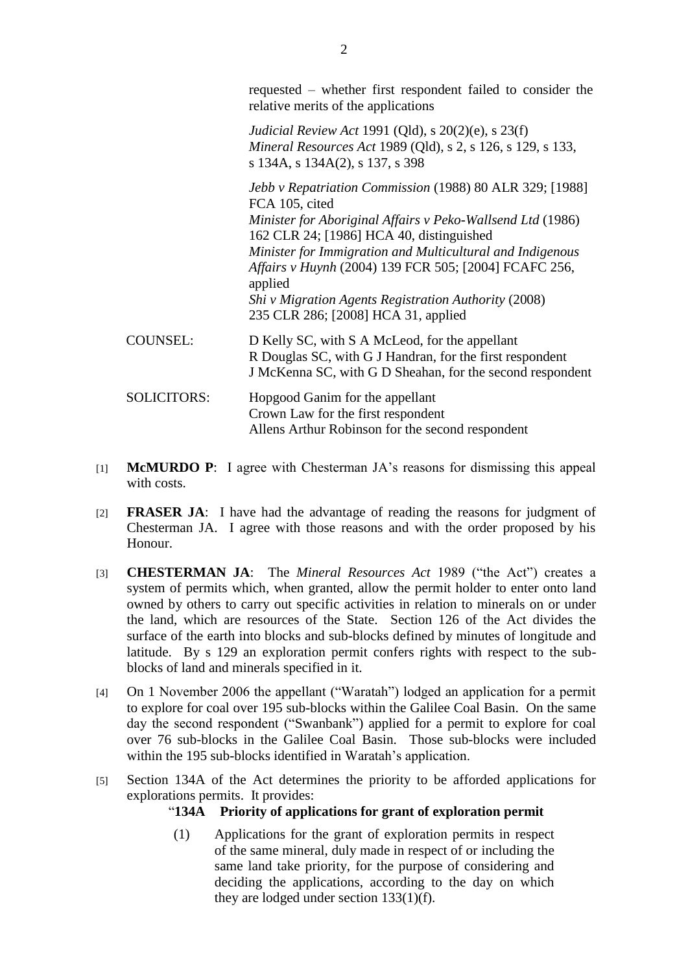requested – whether first respondent failed to consider the relative merits of the applications

*Judicial Review Act* 1991 (Qld), s 20(2)(e), s 23(f) *Mineral Resources Act* 1989 (Qld), s 2, s 126, s 129, s 133, s 134A, s 134A(2), s 137, s 398

*Jebb v Repatriation Commission* (1988) 80 ALR 329; [1988] FCA 105, cited *Minister for Aboriginal Affairs v Peko-Wallsend Ltd* (1986) 162 CLR 24; [1986] HCA 40, distinguished *Minister for Immigration and Multicultural and Indigenous Affairs v Huynh* (2004) 139 FCR 505; [2004] FCAFC 256, applied *Shi v Migration Agents Registration Authority* (2008) 235 CLR 286; [2008] HCA 31, applied COUNSEL: D Kelly SC, with S A McLeod, for the appellant R Douglas SC, with G J Handran, for the first respondent J McKenna SC, with G D Sheahan, for the second respondent

## SOLICITORS: Hopgood Ganim for the appellant Crown Law for the first respondent Allens Arthur Robinson for the second respondent

- [1] **McMURDO P**: I agree with Chesterman JA's reasons for dismissing this appeal with costs.
- [2] **FRASER JA**: I have had the advantage of reading the reasons for judgment of Chesterman JA. I agree with those reasons and with the order proposed by his Honour.
- [3] **CHESTERMAN JA:** The *Mineral Resources Act* 1989 ("the Act") creates a system of permits which, when granted, allow the permit holder to enter onto land owned by others to carry out specific activities in relation to minerals on or under the land, which are resources of the State. Section 126 of the Act divides the surface of the earth into blocks and sub-blocks defined by minutes of longitude and latitude. By s 129 an exploration permit confers rights with respect to the subblocks of land and minerals specified in it.
- [4] On 1 November 2006 the appellant ("Waratah") lodged an application for a permit to explore for coal over 195 sub-blocks within the Galilee Coal Basin. On the same day the second respondent ("Swanbank") applied for a permit to explore for coal over 76 sub-blocks in the Galilee Coal Basin. Those sub-blocks were included within the 195 sub-blocks identified in Waratah's application.
- [5] Section 134A of the Act determines the priority to be afforded applications for explorations permits. It provides:

### ―**134A Priority of applications for grant of exploration permit**

(1) Applications for the grant of exploration permits in respect of the same mineral, duly made in respect of or including the same land take priority, for the purpose of considering and deciding the applications, according to the day on which they are lodged under section 133(1)(f).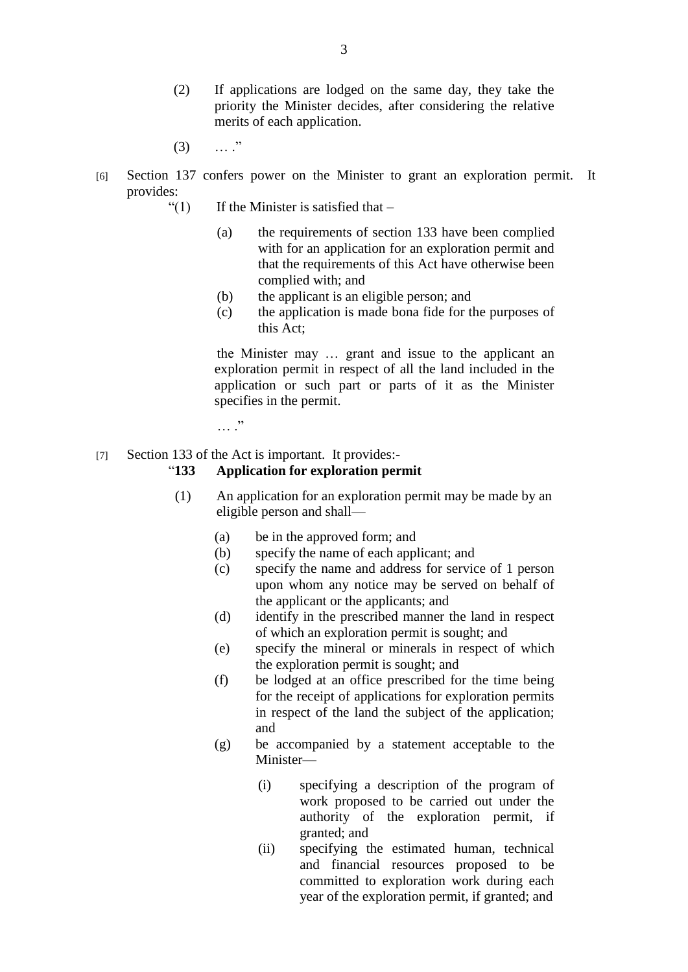- (2) If applications are lodged on the same day, they take the priority the Minister decides, after considering the relative merits of each application.
- $(3)$  … ."
- [6] Section 137 confers power on the Minister to grant an exploration permit. It provides:
	- $\lq(1)$  If the Minister is satisfied that
		- (a) the requirements of section 133 have been complied with for an application for an exploration permit and that the requirements of this Act have otherwise been complied with; and
		- (b) the applicant is an eligible person; and
		- (c) the application is made bona fide for the purposes of this Act;

the Minister may … grant and issue to the applicant an exploration permit in respect of all the land included in the application or such part or parts of it as the Minister specifies in the permit.

 $\cdots$  .

#### [7] Section 133 of the Act is important. It provides:-

#### ―**133 Application for exploration permit**

- (1) An application for an exploration permit may be made by an eligible person and shall—
	- (a) be in the approved form; and
	- (b) specify the name of each applicant; and
	- (c) specify the name and address for service of 1 person upon whom any notice may be served on behalf of the applicant or the applicants; and
	- (d) identify in the prescribed manner the land in respect of which an exploration permit is sought; and
	- (e) specify the mineral or minerals in respect of which the exploration permit is sought; and
	- (f) be lodged at an office prescribed for the time being for the receipt of applications for exploration permits in respect of the land the subject of the application; and
	- (g) be accompanied by a statement acceptable to the Minister—
		- (i) specifying a description of the program of work proposed to be carried out under the authority of the exploration permit, if granted; and
		- (ii) specifying the estimated human, technical and financial resources proposed to be committed to exploration work during each year of the exploration permit, if granted; and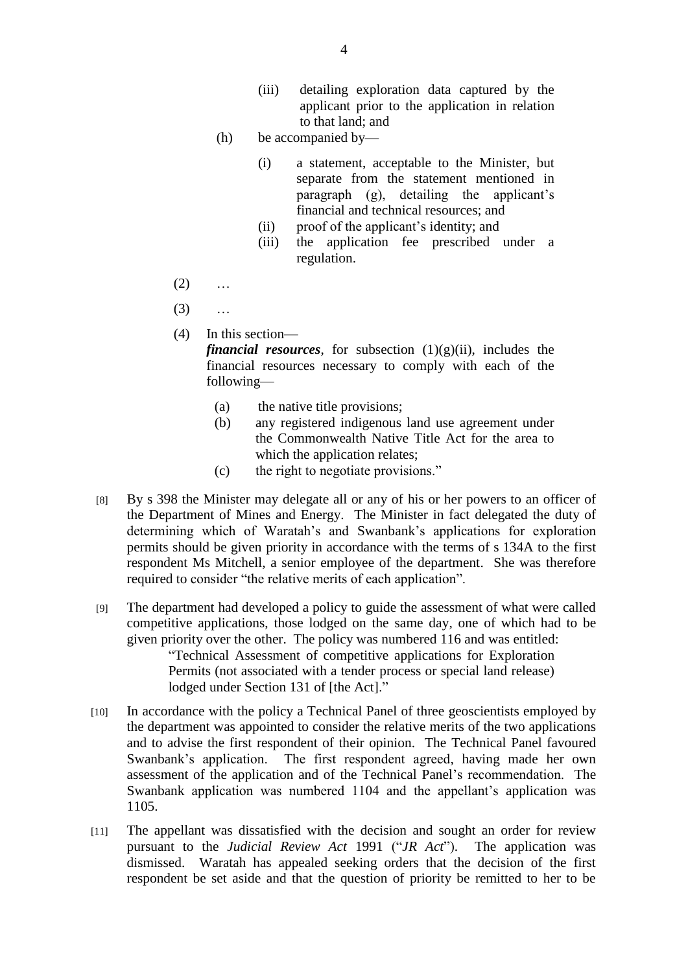- (iii) detailing exploration data captured by the applicant prior to the application in relation to that land; and
- (h) be accompanied by—
	- (i) a statement, acceptable to the Minister, but separate from the statement mentioned in paragraph (g), detailing the applicant's financial and technical resources; and
	- (ii) proof of the applicant's identity; and
	- (iii) the application fee prescribed under a regulation.
- $(2)$  ...
- (3) …
- (4) In this section—

*financial resources*, for subsection  $(1)(g)(ii)$ , includes the financial resources necessary to comply with each of the following—

- (a) the native title provisions;
- (b) any registered indigenous land use agreement under the Commonwealth Native Title Act for the area to which the application relates;
- (c) the right to negotiate provisions."
- [8] By s 398 the Minister may delegate all or any of his or her powers to an officer of the Department of Mines and Energy. The Minister in fact delegated the duty of determining which of Waratah's and Swanbank's applications for exploration permits should be given priority in accordance with the terms of s 134A to the first respondent Ms Mitchell, a senior employee of the department. She was therefore required to consider "the relative merits of each application".
- [9] The department had developed a policy to guide the assessment of what were called competitive applications, those lodged on the same day, one of which had to be given priority over the other. The policy was numbered 116 and was entitled: ―Technical Assessment of competitive applications for Exploration

Permits (not associated with a tender process or special land release) lodged under Section 131 of [the Act]."

- [10] In accordance with the policy a Technical Panel of three geoscientists employed by the department was appointed to consider the relative merits of the two applications and to advise the first respondent of their opinion. The Technical Panel favoured Swanbank's application. The first respondent agreed, having made her own assessment of the application and of the Technical Panel's recommendation. The Swanbank application was numbered 1104 and the appellant's application was 1105.
- [11] The appellant was dissatisfied with the decision and sought an order for review pursuant to the *Judicial Review Act* 1991 ("*JR Act*"). The application was dismissed. Waratah has appealed seeking orders that the decision of the first respondent be set aside and that the question of priority be remitted to her to be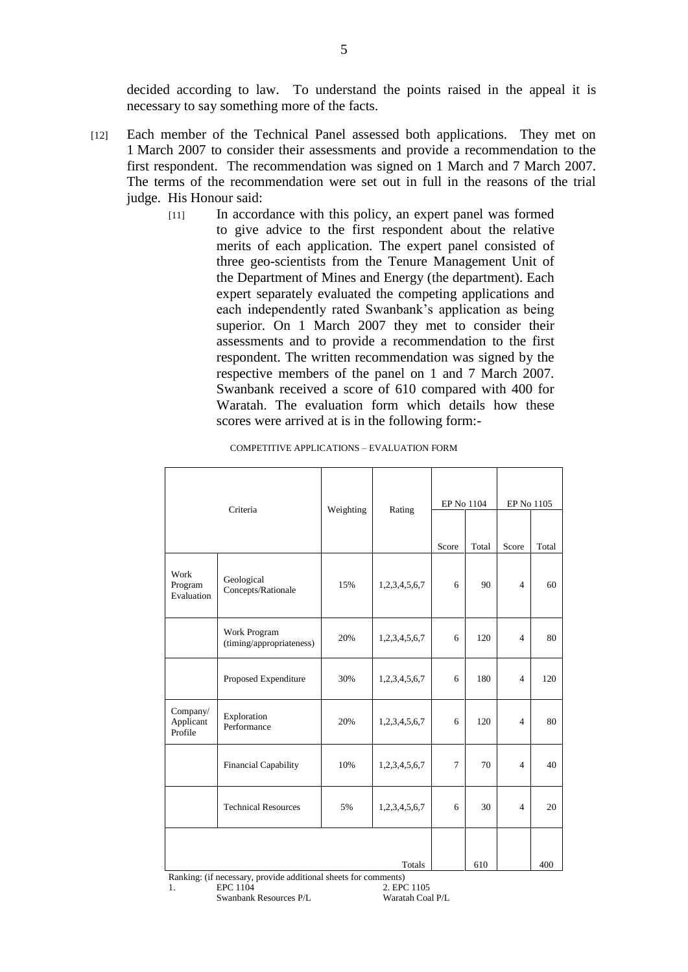decided according to law. To understand the points raised in the appeal it is necessary to say something more of the facts.

- [12] Each member of the Technical Panel assessed both applications. They met on 1 March 2007 to consider their assessments and provide a recommendation to the first respondent. The recommendation was signed on 1 March and 7 March 2007. The terms of the recommendation were set out in full in the reasons of the trial judge. His Honour said:
	- [11] In accordance with this policy, an expert panel was formed to give advice to the first respondent about the relative merits of each application. The expert panel consisted of three geo-scientists from the Tenure Management Unit of the Department of Mines and Energy (the department). Each expert separately evaluated the competing applications and each independently rated Swanbank's application as being superior. On 1 March 2007 they met to consider their assessments and to provide a recommendation to the first respondent. The written recommendation was signed by the respective members of the panel on 1 and 7 March 2007. Swanbank received a score of 610 compared with 400 for Waratah. The evaluation form which details how these scores were arrived at is in the following form:-

| Criteria                                                                        |                                          | Weighting | Rating        | EP No 1104     |       | EP No 1105     |       |
|---------------------------------------------------------------------------------|------------------------------------------|-----------|---------------|----------------|-------|----------------|-------|
|                                                                                 |                                          |           |               |                |       |                |       |
|                                                                                 |                                          |           |               | Score          | Total | Score          | Total |
| Work<br>Program<br>Evaluation                                                   | Geological<br>Concepts/Rationale         | 15%       | 1,2,3,4,5,6,7 | 6              | 90    | $\overline{4}$ | 60    |
|                                                                                 | Work Program<br>(timing/appropriateness) | 20%       | 1,2,3,4,5,6,7 | 6              | 120   | $\overline{4}$ | 80    |
|                                                                                 | Proposed Expenditure                     | 30%       | 1,2,3,4,5,6,7 | 6              | 180   | $\overline{4}$ | 120   |
| Company/<br>Applicant<br>Profile                                                | Exploration<br>Performance               | 20%       | 1,2,3,4,5,6,7 | 6              | 120   | $\overline{4}$ | 80    |
|                                                                                 | Financial Capability                     | 10%       | 1,2,3,4,5,6,7 | $\overline{7}$ | 70    | $\overline{4}$ | 40    |
|                                                                                 | <b>Technical Resources</b>               | 5%        | 1,2,3,4,5,6,7 | 6              | 30    | $\overline{4}$ | 20    |
|                                                                                 |                                          |           |               |                |       |                |       |
| 610<br>Totals<br>Benking: (if necessary provide edditional sheets for comments) |                                          |           |               |                |       |                | 400   |

COMPETITIVE APPLICATIONS – EVALUATION FORM

Ranking: (if necessary, provide additional sheets for comments)

Swanbank Resources P/L

```
1. EPC 1104 2. EPC 1105<br>Swanbank Resources P/L Waratah Coal P/L
```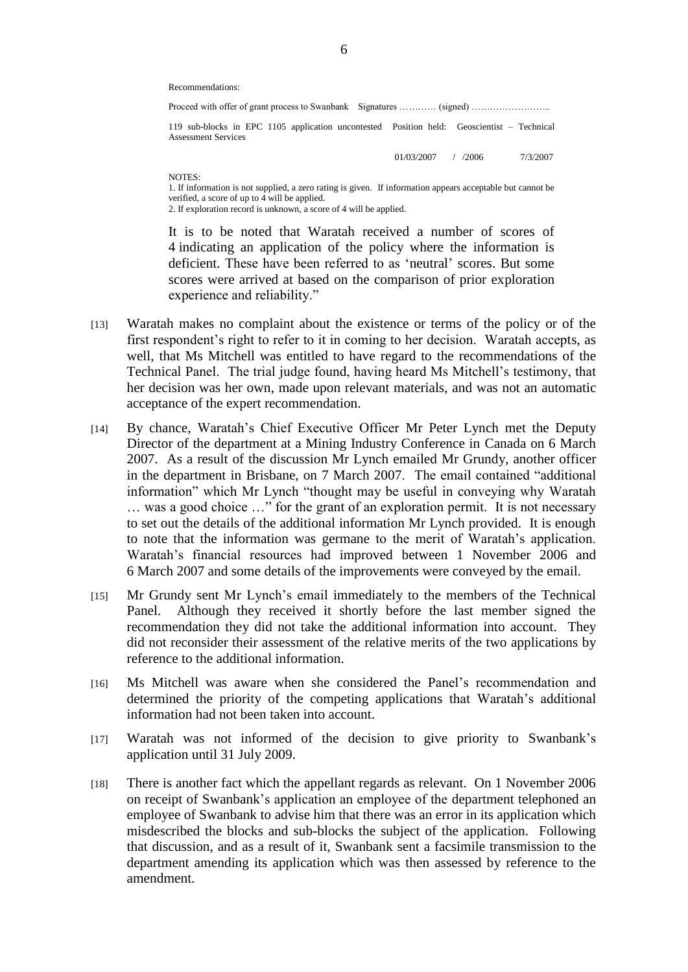Recommendations:

| 119 sub-blocks in EPC 1105 application uncontested Position held: Geoscientist – Technical<br><b>Assessment Services</b> |            |        |          |  |  |  |  |  |  |  |
|--------------------------------------------------------------------------------------------------------------------------|------------|--------|----------|--|--|--|--|--|--|--|
|                                                                                                                          | 01/03/2007 | 7.2006 | 7/3/2007 |  |  |  |  |  |  |  |
| NOTFC.                                                                                                                   |            |        |          |  |  |  |  |  |  |  |

1. If information is not supplied, a zero rating is given. If information appears acceptable but cannot be verified, a score of up to  $4$  will be applied.

2. If exploration record is unknown, a score of 4 will be applied.

It is to be noted that Waratah received a number of scores of 4 indicating an application of the policy where the information is deficient. These have been referred to as 'neutral' scores. But some scores were arrived at based on the comparison of prior exploration experience and reliability."

- [13] Waratah makes no complaint about the existence or terms of the policy or of the first respondent's right to refer to it in coming to her decision. Waratah accepts, as well, that Ms Mitchell was entitled to have regard to the recommendations of the Technical Panel. The trial judge found, having heard Ms Mitchell's testimony, that her decision was her own, made upon relevant materials, and was not an automatic acceptance of the expert recommendation.
- [14] By chance, Waratah's Chief Executive Officer Mr Peter Lynch met the Deputy Director of the department at a Mining Industry Conference in Canada on 6 March 2007. As a result of the discussion Mr Lynch emailed Mr Grundy, another officer in the department in Brisbane, on 7 March 2007. The email contained "additional information" which Mr Lynch "thought may be useful in conveying why Waratah ... was a good choice ..." for the grant of an exploration permit. It is not necessary to set out the details of the additional information Mr Lynch provided. It is enough to note that the information was germane to the merit of Waratah's application. Waratah's financial resources had improved between 1 November 2006 and 6 March 2007 and some details of the improvements were conveyed by the email.
- [15] Mr Grundy sent Mr Lynch's email immediately to the members of the Technical Panel. Although they received it shortly before the last member signed the recommendation they did not take the additional information into account. They did not reconsider their assessment of the relative merits of the two applications by reference to the additional information.
- [16] Ms Mitchell was aware when she considered the Panel's recommendation and determined the priority of the competing applications that Waratah's additional information had not been taken into account.
- [17] Waratah was not informed of the decision to give priority to Swanbank's application until 31 July 2009.
- [18] There is another fact which the appellant regards as relevant. On 1 November 2006 on receipt of Swanbank's application an employee of the department telephoned an employee of Swanbank to advise him that there was an error in its application which misdescribed the blocks and sub-blocks the subject of the application. Following that discussion, and as a result of it, Swanbank sent a facsimile transmission to the department amending its application which was then assessed by reference to the amendment.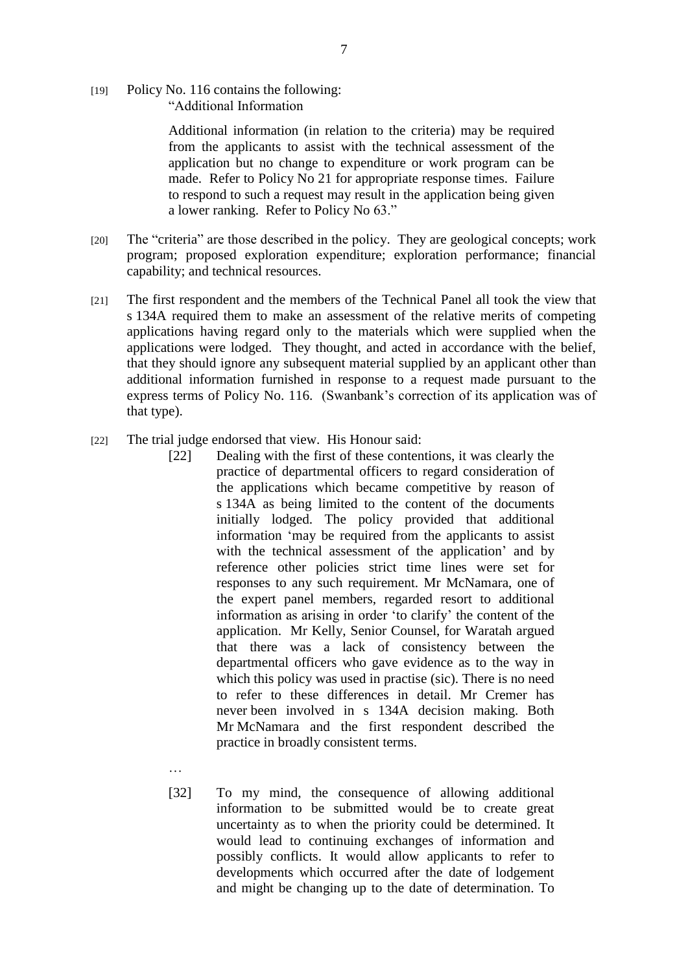[19] Policy No. 116 contains the following: ―Additional Information

> Additional information (in relation to the criteria) may be required from the applicants to assist with the technical assessment of the application but no change to expenditure or work program can be made. Refer to Policy No 21 for appropriate response times. Failure to respond to such a request may result in the application being given a lower ranking. Refer to Policy No 63."

- [20] The "criteria" are those described in the policy. They are geological concepts; work program; proposed exploration expenditure; exploration performance; financial capability; and technical resources.
- [21] The first respondent and the members of the Technical Panel all took the view that s 134A required them to make an assessment of the relative merits of competing applications having regard only to the materials which were supplied when the applications were lodged. They thought, and acted in accordance with the belief, that they should ignore any subsequent material supplied by an applicant other than additional information furnished in response to a request made pursuant to the express terms of Policy No. 116. (Swanbank's correction of its application was of that type).
- [22] The trial judge endorsed that view. His Honour said:
	- [22] Dealing with the first of these contentions, it was clearly the practice of departmental officers to regard consideration of the applications which became competitive by reason of s 134A as being limited to the content of the documents initially lodged. The policy provided that additional information 'may be required from the applicants to assist with the technical assessment of the application' and by reference other policies strict time lines were set for responses to any such requirement. Mr McNamara, one of the expert panel members, regarded resort to additional information as arising in order 'to clarify' the content of the application. Mr Kelly, Senior Counsel, for Waratah argued that there was a lack of consistency between the departmental officers who gave evidence as to the way in which this policy was used in practise (sic). There is no need to refer to these differences in detail. Mr Cremer has never been involved in s 134A decision making. Both Mr McNamara and the first respondent described the practice in broadly consistent terms.
	- … [32] To my mind, the consequence of allowing additional information to be submitted would be to create great uncertainty as to when the priority could be determined. It would lead to continuing exchanges of information and possibly conflicts. It would allow applicants to refer to developments which occurred after the date of lodgement and might be changing up to the date of determination. To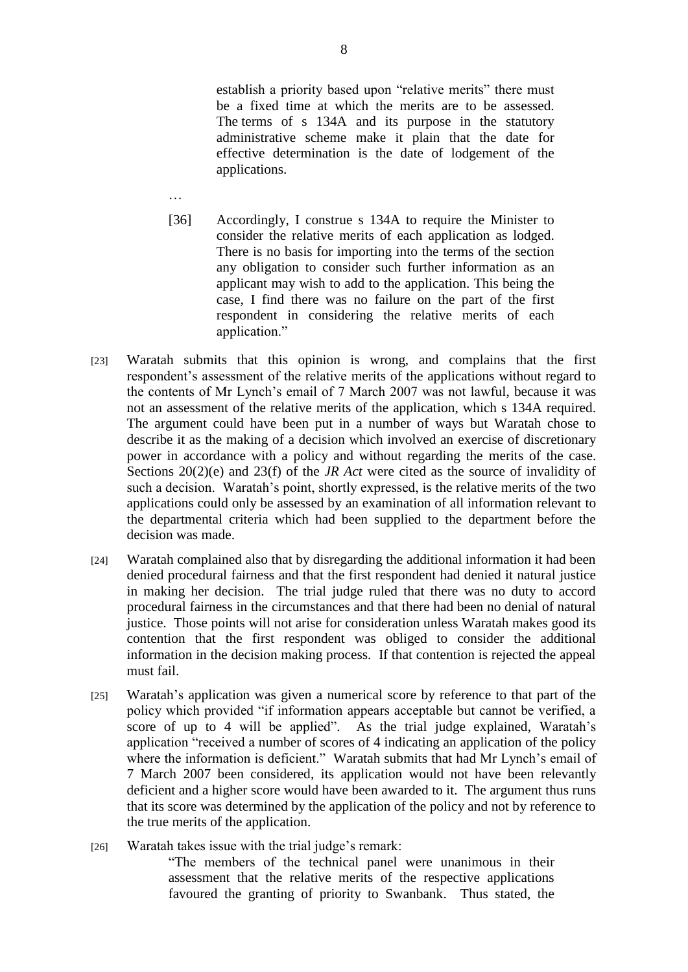establish a priority based upon "relative merits" there must be a fixed time at which the merits are to be assessed. The terms of s 134A and its purpose in the statutory administrative scheme make it plain that the date for effective determination is the date of lodgement of the applications.

- [36] Accordingly, I construe s 134A to require the Minister to consider the relative merits of each application as lodged. There is no basis for importing into the terms of the section any obligation to consider such further information as an applicant may wish to add to the application. This being the case, I find there was no failure on the part of the first respondent in considering the relative merits of each application."
- [23] Waratah submits that this opinion is wrong, and complains that the first respondent's assessment of the relative merits of the applications without regard to the contents of Mr Lynch's email of 7 March 2007 was not lawful, because it was not an assessment of the relative merits of the application, which s 134A required. The argument could have been put in a number of ways but Waratah chose to describe it as the making of a decision which involved an exercise of discretionary power in accordance with a policy and without regarding the merits of the case. Sections 20(2)(e) and 23(f) of the *JR Act* were cited as the source of invalidity of such a decision. Waratah's point, shortly expressed, is the relative merits of the two applications could only be assessed by an examination of all information relevant to the departmental criteria which had been supplied to the department before the decision was made.
- [24] Waratah complained also that by disregarding the additional information it had been denied procedural fairness and that the first respondent had denied it natural justice in making her decision. The trial judge ruled that there was no duty to accord procedural fairness in the circumstances and that there had been no denial of natural justice. Those points will not arise for consideration unless Waratah makes good its contention that the first respondent was obliged to consider the additional information in the decision making process. If that contention is rejected the appeal must fail.
- [25] Waratah's application was given a numerical score by reference to that part of the policy which provided "if information appears acceptable but cannot be verified, a score of up to 4 will be applied". As the trial judge explained, Waratah's application "received a number of scores of 4 indicating an application of the policy where the information is deficient." Waratah submits that had Mr Lynch's email of 7 March 2007 been considered, its application would not have been relevantly deficient and a higher score would have been awarded to it. The argument thus runs that its score was determined by the application of the policy and not by reference to the true merits of the application.
- [26] Waratah takes issue with the trial judge's remark:

―The members of the technical panel were unanimous in their assessment that the relative merits of the respective applications favoured the granting of priority to Swanbank. Thus stated, the

…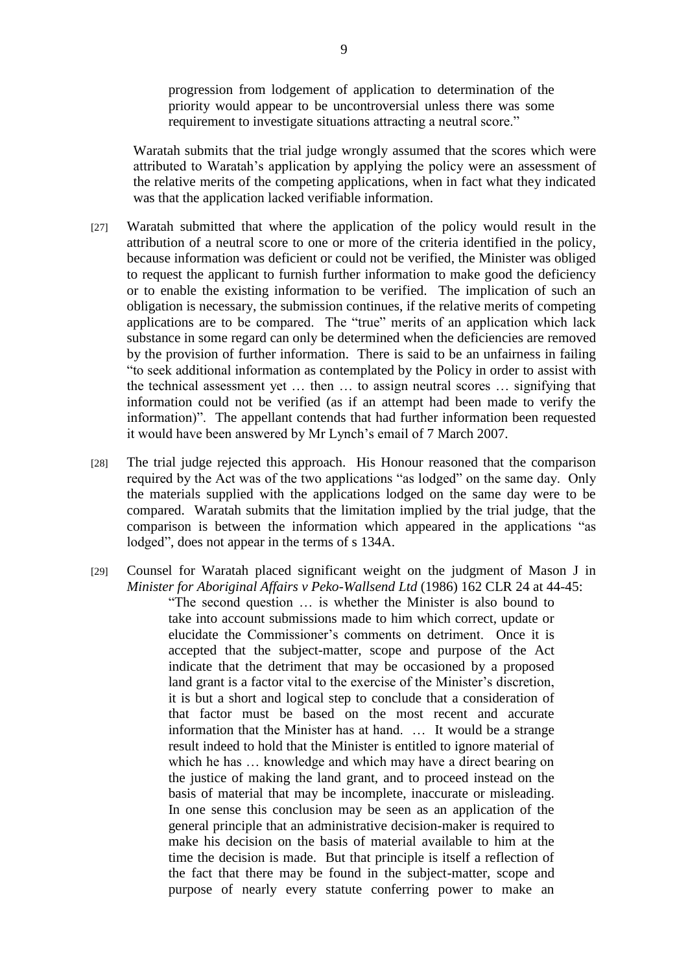progression from lodgement of application to determination of the priority would appear to be uncontroversial unless there was some requirement to investigate situations attracting a neutral score."

Waratah submits that the trial judge wrongly assumed that the scores which were attributed to Waratah's application by applying the policy were an assessment of the relative merits of the competing applications, when in fact what they indicated was that the application lacked verifiable information.

- [27] Waratah submitted that where the application of the policy would result in the attribution of a neutral score to one or more of the criteria identified in the policy, because information was deficient or could not be verified, the Minister was obliged to request the applicant to furnish further information to make good the deficiency or to enable the existing information to be verified. The implication of such an obligation is necessary, the submission continues, if the relative merits of competing applications are to be compared. The "true" merits of an application which lack substance in some regard can only be determined when the deficiencies are removed by the provision of further information. There is said to be an unfairness in failing ―to seek additional information as contemplated by the Policy in order to assist with the technical assessment yet … then … to assign neutral scores … signifying that information could not be verified (as if an attempt had been made to verify the information)". The appellant contends that had further information been requested it would have been answered by Mr Lynch's email of 7 March 2007.
- [28] The trial judge rejected this approach. His Honour reasoned that the comparison required by the Act was of the two applications "as lodged" on the same day. Only the materials supplied with the applications lodged on the same day were to be compared. Waratah submits that the limitation implied by the trial judge, that the comparison is between the information which appeared in the applications "as lodged", does not appear in the terms of s 134A.
- [29] Counsel for Waratah placed significant weight on the judgment of Mason J in *Minister for Aboriginal Affairs v Peko-Wallsend Ltd* (1986) 162 CLR 24 at 44-45: ―The second question … is whether the Minister is also bound to take into account submissions made to him which correct, update or elucidate the Commissioner's comments on detriment. Once it is accepted that the subject-matter, scope and purpose of the Act indicate that the detriment that may be occasioned by a proposed land grant is a factor vital to the exercise of the Minister's discretion, it is but a short and logical step to conclude that a consideration of that factor must be based on the most recent and accurate information that the Minister has at hand. … It would be a strange result indeed to hold that the Minister is entitled to ignore material of which he has  $\ldots$  knowledge and which may have a direct bearing on the justice of making the land grant, and to proceed instead on the basis of material that may be incomplete, inaccurate or misleading. In one sense this conclusion may be seen as an application of the general principle that an administrative decision-maker is required to make his decision on the basis of material available to him at the time the decision is made. But that principle is itself a reflection of the fact that there may be found in the subject-matter, scope and purpose of nearly every statute conferring power to make an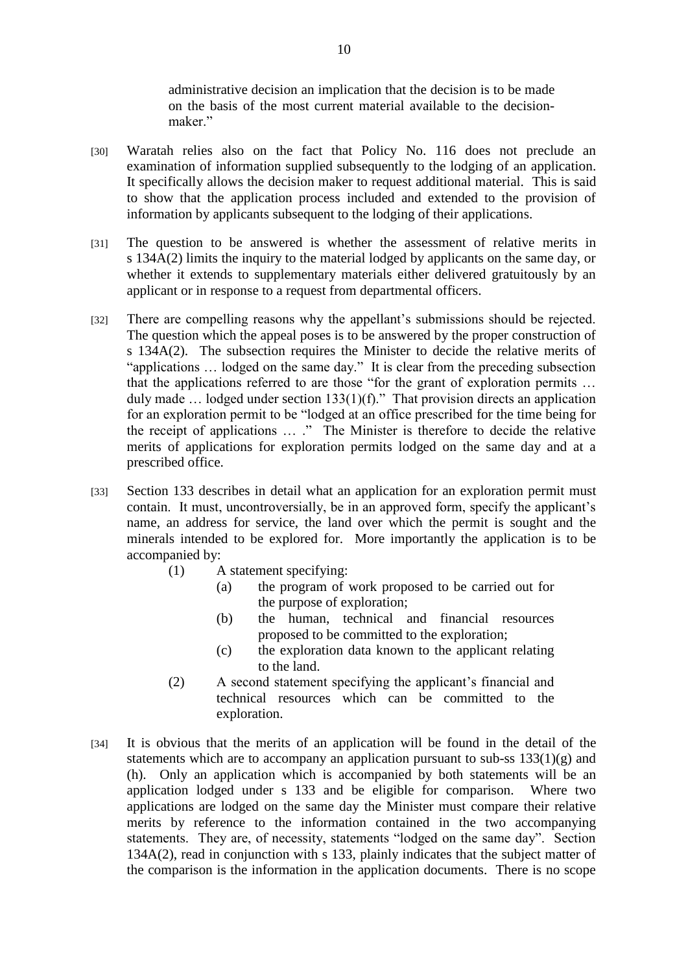administrative decision an implication that the decision is to be made on the basis of the most current material available to the decisionmaker"

- [30] Waratah relies also on the fact that Policy No. 116 does not preclude an examination of information supplied subsequently to the lodging of an application. It specifically allows the decision maker to request additional material. This is said to show that the application process included and extended to the provision of information by applicants subsequent to the lodging of their applications.
- [31] The question to be answered is whether the assessment of relative merits in s 134A(2) limits the inquiry to the material lodged by applicants on the same day, or whether it extends to supplementary materials either delivered gratuitously by an applicant or in response to a request from departmental officers.
- [32] There are compelling reasons why the appellant's submissions should be rejected. The question which the appeal poses is to be answered by the proper construction of s 134A(2). The subsection requires the Minister to decide the relative merits of "applications ... lodged on the same day." It is clear from the preceding subsection that the applications referred to are those "for the grant of exploration permits ... duly made  $\ldots$  lodged under section 133(1)(f)." That provision directs an application for an exploration permit to be "lodged at an office prescribed for the time being for the receipt of applications ... ." The Minister is therefore to decide the relative merits of applications for exploration permits lodged on the same day and at a prescribed office.
- [33] Section 133 describes in detail what an application for an exploration permit must contain. It must, uncontroversially, be in an approved form, specify the applicant's name, an address for service, the land over which the permit is sought and the minerals intended to be explored for. More importantly the application is to be accompanied by:
	- (1) A statement specifying:
		- (a) the program of work proposed to be carried out for the purpose of exploration;
		- (b) the human, technical and financial resources proposed to be committed to the exploration;
		- (c) the exploration data known to the applicant relating to the land.
	- (2) A second statement specifying the applicant's financial and technical resources which can be committed to the exploration.
- [34] It is obvious that the merits of an application will be found in the detail of the statements which are to accompany an application pursuant to sub-ss  $133(1)(g)$  and (h). Only an application which is accompanied by both statements will be an application lodged under s 133 and be eligible for comparison. Where two applications are lodged on the same day the Minister must compare their relative merits by reference to the information contained in the two accompanying statements. They are, of necessity, statements "lodged on the same day". Section 134A(2), read in conjunction with s 133, plainly indicates that the subject matter of the comparison is the information in the application documents. There is no scope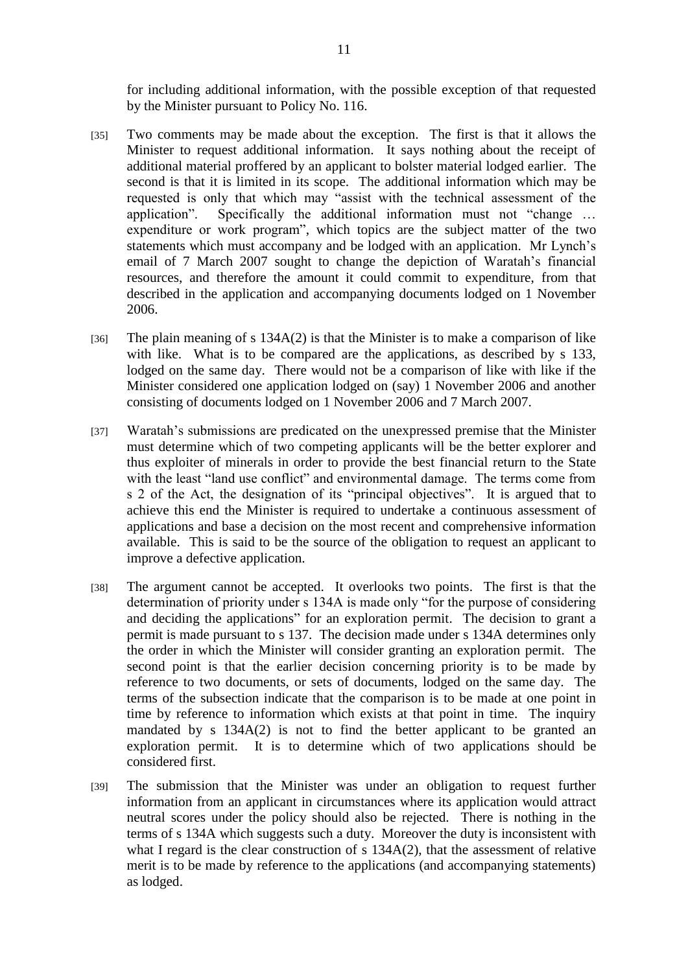for including additional information, with the possible exception of that requested by the Minister pursuant to Policy No. 116.

- [35] Two comments may be made about the exception. The first is that it allows the Minister to request additional information. It says nothing about the receipt of additional material proffered by an applicant to bolster material lodged earlier. The second is that it is limited in its scope. The additional information which may be requested is only that which may "assist with the technical assessment of the application". Specifically the additional information must not "change … expenditure or work program", which topics are the subject matter of the two statements which must accompany and be lodged with an application. Mr Lynch's email of 7 March 2007 sought to change the depiction of Waratah's financial resources, and therefore the amount it could commit to expenditure, from that described in the application and accompanying documents lodged on 1 November 2006.
- [36] The plain meaning of s 134A(2) is that the Minister is to make a comparison of like with like. What is to be compared are the applications, as described by s 133, lodged on the same day. There would not be a comparison of like with like if the Minister considered one application lodged on (say) 1 November 2006 and another consisting of documents lodged on 1 November 2006 and 7 March 2007.
- [37] Waratah's submissions are predicated on the unexpressed premise that the Minister must determine which of two competing applicants will be the better explorer and thus exploiter of minerals in order to provide the best financial return to the State with the least "land use conflict" and environmental damage. The terms come from s 2 of the Act, the designation of its "principal objectives". It is argued that to achieve this end the Minister is required to undertake a continuous assessment of applications and base a decision on the most recent and comprehensive information available. This is said to be the source of the obligation to request an applicant to improve a defective application.
- [38] The argument cannot be accepted. It overlooks two points. The first is that the determination of priority under s 134A is made only "for the purpose of considering and deciding the applications" for an exploration permit. The decision to grant a permit is made pursuant to s 137. The decision made under s 134A determines only the order in which the Minister will consider granting an exploration permit. The second point is that the earlier decision concerning priority is to be made by reference to two documents, or sets of documents, lodged on the same day. The terms of the subsection indicate that the comparison is to be made at one point in time by reference to information which exists at that point in time. The inquiry mandated by s 134A(2) is not to find the better applicant to be granted an exploration permit. It is to determine which of two applications should be considered first.
- [39] The submission that the Minister was under an obligation to request further information from an applicant in circumstances where its application would attract neutral scores under the policy should also be rejected. There is nothing in the terms of s 134A which suggests such a duty. Moreover the duty is inconsistent with what I regard is the clear construction of s 134A(2), that the assessment of relative merit is to be made by reference to the applications (and accompanying statements) as lodged.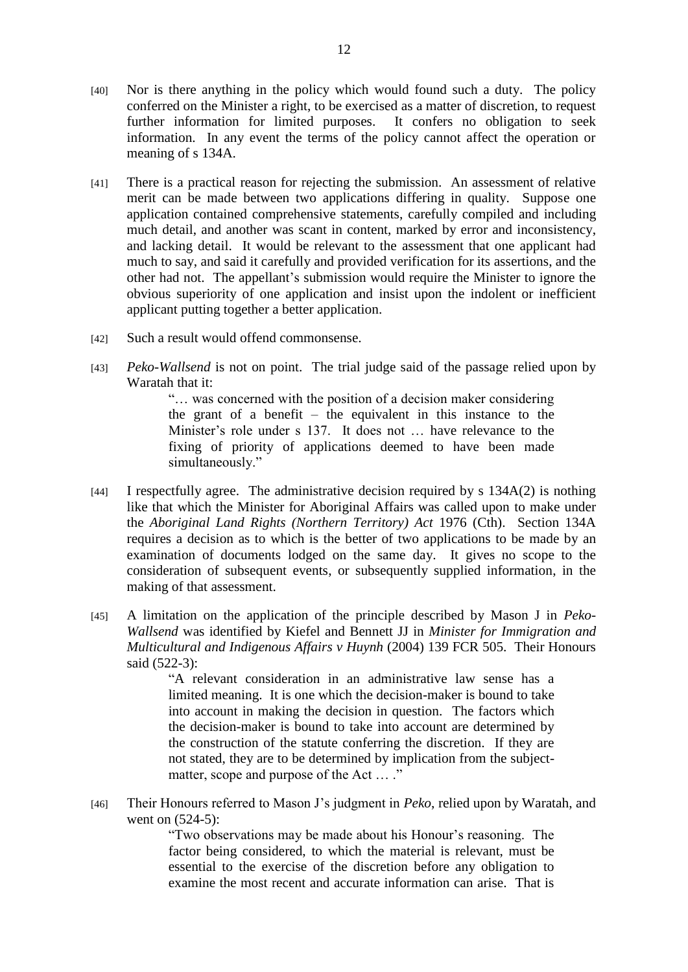- [40] Nor is there anything in the policy which would found such a duty. The policy conferred on the Minister a right, to be exercised as a matter of discretion, to request further information for limited purposes. It confers no obligation to seek information. In any event the terms of the policy cannot affect the operation or meaning of s 134A.
- [41] There is a practical reason for rejecting the submission. An assessment of relative merit can be made between two applications differing in quality. Suppose one application contained comprehensive statements, carefully compiled and including much detail, and another was scant in content, marked by error and inconsistency, and lacking detail. It would be relevant to the assessment that one applicant had much to say, and said it carefully and provided verification for its assertions, and the other had not. The appellant's submission would require the Minister to ignore the obvious superiority of one application and insist upon the indolent or inefficient applicant putting together a better application.
- [42] Such a result would offend commonsense.
- [43] *Peko-Wallsend* is not on point. The trial judge said of the passage relied upon by Waratah that it:

―… was concerned with the position of a decision maker considering the grant of a benefit – the equivalent in this instance to the Minister's role under s 137. It does not … have relevance to the fixing of priority of applications deemed to have been made simultaneously."

- [44] I respectfully agree. The administrative decision required by s 134A(2) is nothing like that which the Minister for Aboriginal Affairs was called upon to make under the *Aboriginal Land Rights (Northern Territory) Act* 1976 (Cth). Section 134A requires a decision as to which is the better of two applications to be made by an examination of documents lodged on the same day. It gives no scope to the consideration of subsequent events, or subsequently supplied information, in the making of that assessment.
- [45] A limitation on the application of the principle described by Mason J in *Peko-Wallsend* was identified by Kiefel and Bennett JJ in *Minister for Immigration and Multicultural and Indigenous Affairs v Huynh* (2004) 139 FCR 505. Their Honours said (522-3):

―A relevant consideration in an administrative law sense has a limited meaning. It is one which the decision-maker is bound to take into account in making the decision in question. The factors which the decision-maker is bound to take into account are determined by the construction of the statute conferring the discretion. If they are not stated, they are to be determined by implication from the subjectmatter, scope and purpose of the Act ... ."

[46] Their Honours referred to Mason J's judgment in *Peko*, relied upon by Waratah, and went on  $(524-5)$ :

> ―Two observations may be made about his Honour's reasoning. The factor being considered, to which the material is relevant, must be essential to the exercise of the discretion before any obligation to examine the most recent and accurate information can arise. That is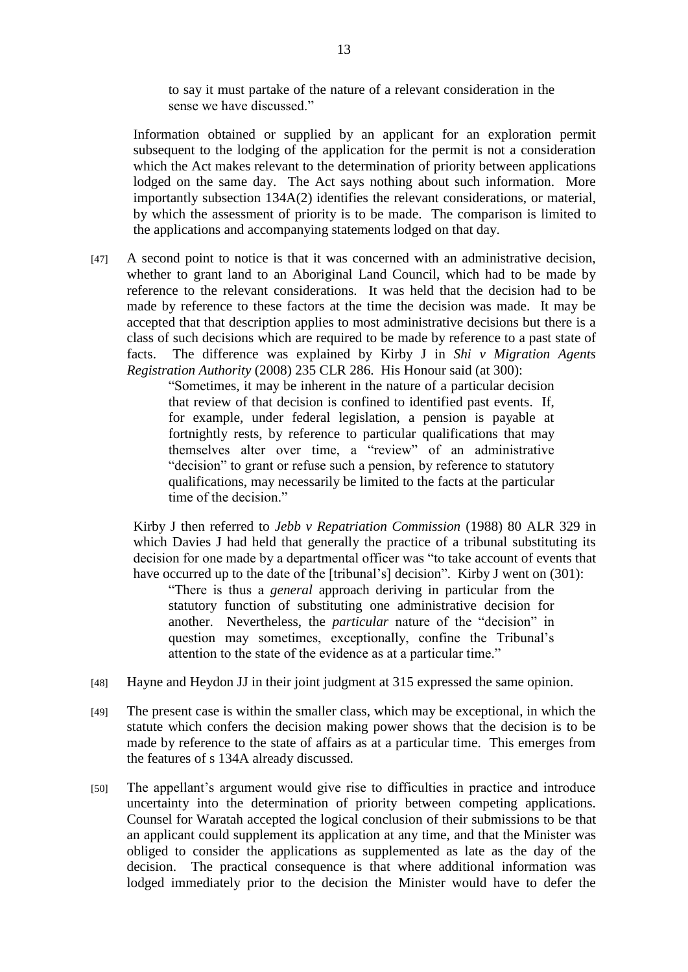to say it must partake of the nature of a relevant consideration in the sense we have discussed."

Information obtained or supplied by an applicant for an exploration permit subsequent to the lodging of the application for the permit is not a consideration which the Act makes relevant to the determination of priority between applications lodged on the same day. The Act says nothing about such information. More importantly subsection 134A(2) identifies the relevant considerations, or material, by which the assessment of priority is to be made. The comparison is limited to the applications and accompanying statements lodged on that day.

[47] A second point to notice is that it was concerned with an administrative decision, whether to grant land to an Aboriginal Land Council, which had to be made by reference to the relevant considerations. It was held that the decision had to be made by reference to these factors at the time the decision was made. It may be accepted that that description applies to most administrative decisions but there is a class of such decisions which are required to be made by reference to a past state of facts. The difference was explained by Kirby J in *Shi v Migration Agents Registration Authority* (2008) 235 CLR 286. His Honour said (at 300):

> ―Sometimes, it may be inherent in the nature of a particular decision that review of that decision is confined to identified past events. If, for example, under federal legislation, a pension is payable at fortnightly rests, by reference to particular qualifications that may themselves alter over time, a "review" of an administrative "decision" to grant or refuse such a pension, by reference to statutory qualifications, may necessarily be limited to the facts at the particular time of the decision."

Kirby J then referred to *Jebb v Repatriation Commission* (1988) 80 ALR 329 in which Davies J had held that generally the practice of a tribunal substituting its decision for one made by a departmental officer was "to take account of events that have occurred up to the date of the [tribunal's] decision". Kirby J went on (301):

―There is thus a *general* approach deriving in particular from the statutory function of substituting one administrative decision for another. Nevertheless, the *particular* nature of the "decision" in question may sometimes, exceptionally, confine the Tribunal's attention to the state of the evidence as at a particular time."

- [48] Hayne and Heydon JJ in their joint judgment at 315 expressed the same opinion.
- [49] The present case is within the smaller class, which may be exceptional, in which the statute which confers the decision making power shows that the decision is to be made by reference to the state of affairs as at a particular time. This emerges from the features of s 134A already discussed.
- [50] The appellant's argument would give rise to difficulties in practice and introduce uncertainty into the determination of priority between competing applications. Counsel for Waratah accepted the logical conclusion of their submissions to be that an applicant could supplement its application at any time, and that the Minister was obliged to consider the applications as supplemented as late as the day of the decision. The practical consequence is that where additional information was lodged immediately prior to the decision the Minister would have to defer the